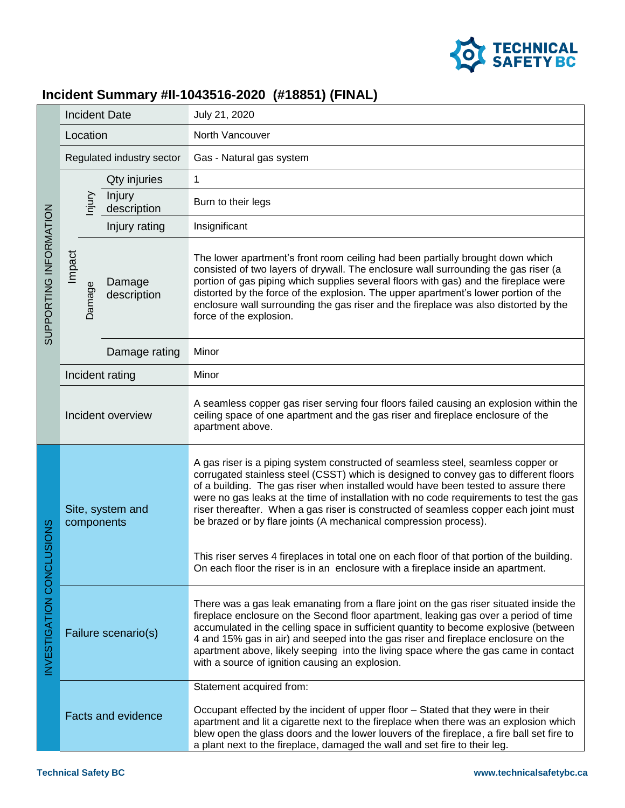

## **Incident Summary #II-1043516-2020 (#18851) (FINAL)**

| SUPPORTING INFORMATION             | <b>Incident Date</b>           |        |                           | July 21, 2020                                                                                                                                                                                                                                                                                                                                                                                                                                                                                                                                                                                                                                                                                            |
|------------------------------------|--------------------------------|--------|---------------------------|----------------------------------------------------------------------------------------------------------------------------------------------------------------------------------------------------------------------------------------------------------------------------------------------------------------------------------------------------------------------------------------------------------------------------------------------------------------------------------------------------------------------------------------------------------------------------------------------------------------------------------------------------------------------------------------------------------|
|                                    | Location                       |        |                           | North Vancouver                                                                                                                                                                                                                                                                                                                                                                                                                                                                                                                                                                                                                                                                                          |
|                                    | Regulated industry sector      |        |                           | Gas - Natural gas system                                                                                                                                                                                                                                                                                                                                                                                                                                                                                                                                                                                                                                                                                 |
|                                    | Impact                         |        | Qty injuries              | 1                                                                                                                                                                                                                                                                                                                                                                                                                                                                                                                                                                                                                                                                                                        |
|                                    |                                | njury  | Injury<br>description     | Burn to their legs                                                                                                                                                                                                                                                                                                                                                                                                                                                                                                                                                                                                                                                                                       |
|                                    |                                |        | Injury rating             | Insignificant                                                                                                                                                                                                                                                                                                                                                                                                                                                                                                                                                                                                                                                                                            |
|                                    |                                | Damage | Damage<br>description     | The lower apartment's front room ceiling had been partially brought down which<br>consisted of two layers of drywall. The enclosure wall surrounding the gas riser (a<br>portion of gas piping which supplies several floors with gas) and the fireplace were<br>distorted by the force of the explosion. The upper apartment's lower portion of the<br>enclosure wall surrounding the gas riser and the fireplace was also distorted by the<br>force of the explosion.                                                                                                                                                                                                                                  |
|                                    |                                |        | Damage rating             | Minor                                                                                                                                                                                                                                                                                                                                                                                                                                                                                                                                                                                                                                                                                                    |
|                                    | Incident rating                |        |                           | Minor                                                                                                                                                                                                                                                                                                                                                                                                                                                                                                                                                                                                                                                                                                    |
|                                    | Incident overview              |        |                           | A seamless copper gas riser serving four floors failed causing an explosion within the<br>ceiling space of one apartment and the gas riser and fireplace enclosure of the<br>apartment above.                                                                                                                                                                                                                                                                                                                                                                                                                                                                                                            |
| <b>USIONS</b><br>NVESTIGATION CONC | Site, system and<br>components |        |                           | A gas riser is a piping system constructed of seamless steel, seamless copper or<br>corrugated stainless steel (CSST) which is designed to convey gas to different floors<br>of a building. The gas riser when installed would have been tested to assure there<br>were no gas leaks at the time of installation with no code requirements to test the gas<br>riser thereafter. When a gas riser is constructed of seamless copper each joint must<br>be brazed or by flare joints (A mechanical compression process).<br>This riser serves 4 fireplaces in total one on each floor of that portion of the building.<br>On each floor the riser is in an enclosure with a fireplace inside an apartment. |
|                                    | Failure scenario(s)            |        |                           | There was a gas leak emanating from a flare joint on the gas riser situated inside the<br>fireplace enclosure on the Second floor apartment, leaking gas over a period of time<br>accumulated in the celling space in sufficient quantity to become explosive (between<br>4 and 15% gas in air) and seeped into the gas riser and fireplace enclosure on the<br>apartment above, likely seeping into the living space where the gas came in contact<br>with a source of ignition causing an explosion.                                                                                                                                                                                                   |
|                                    |                                |        | <b>Facts and evidence</b> | Statement acquired from:<br>Occupant effected by the incident of upper floor - Stated that they were in their<br>apartment and lit a cigarette next to the fireplace when there was an explosion which<br>blew open the glass doors and the lower louvers of the fireplace, a fire ball set fire to<br>a plant next to the fireplace, damaged the wall and set fire to their leg.                                                                                                                                                                                                                                                                                                                        |